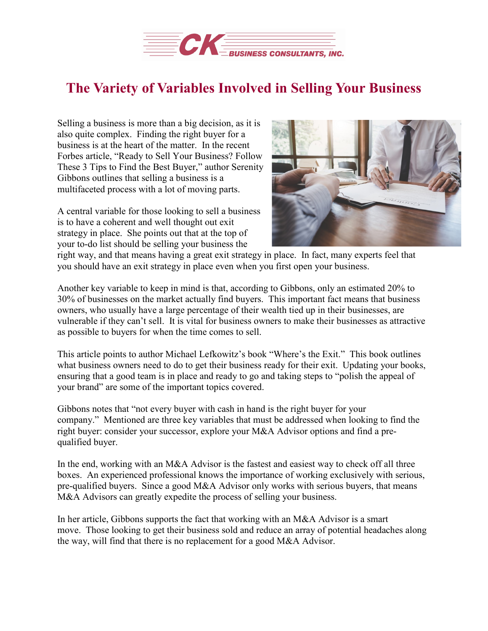

## **The Variety of Variables Involved in Selling Your Business**

Selling a business is more than a big decision, as it is also quite complex. Finding the right buyer for a business is at the heart of the matter. In the recent Forbes article, "Ready to Sell Your Business? Follow These 3 Tips to Find the Best Buyer," author Serenity Gibbons outlines that selling a business is a multifaceted process with a lot of moving parts.

A central variable for those looking to sell a business is to have a coherent and well thought out exit strategy in place. She points out that at the top of your to-do list should be selling your business the



right way, and that means having a great exit strategy in place. In fact, many experts feel that you should have an exit strategy in place even when you first open your business.

Another key variable to keep in mind is that, according to Gibbons, only an estimated 20% to 30% of businesses on the market actually find buyers. This important fact means that business owners, who usually have a large percentage of their wealth tied up in their businesses, are vulnerable if they can't sell. It is vital for business owners to make their businesses as attractive as possible to buyers for when the time comes to sell.

This article points to author Michael Lefkowitz's book "Where's the Exit." This book outlines what business owners need to do to get their business ready for their exit. Updating your books, ensuring that a good team is in place and ready to go and taking steps to "polish the appeal of your brand" are some of the important topics covered.

Gibbons notes that "not every buyer with cash in hand is the right buyer for your company." Mentioned are three key variables that must be addressed when looking to find the right buyer: consider your successor, explore your M&A Advisor options and find a prequalified buyer.

In the end, working with an M&A Advisor is the fastest and easiest way to check off all three boxes. An experienced professional knows the importance of working exclusively with serious, pre-qualified buyers. Since a good M&A Advisor only works with serious buyers, that means M&A Advisors can greatly expedite the process of selling your business.

In her article, Gibbons supports the fact that working with an M&A Advisor is a smart move. Those looking to get their business sold and reduce an array of potential headaches along the way, will find that there is no replacement for a good M&A Advisor.